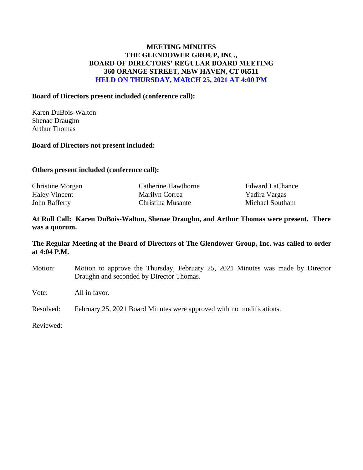## **MEETING MINUTES THE GLENDOWER GROUP, INC., BOARD OF DIRECTORS' REGULAR BOARD MEETING 360 ORANGE STREET, NEW HAVEN, CT 06511 HELD ON THURSDAY, MARCH 25, 2021 AT 4:00 PM**

### **Board of Directors present included (conference call):**

Karen DuBois-Walton Shenae Draughn Arthur Thomas

#### **Board of Directors not present included:**

#### **Others present included (conference call):**

| Christine Morgan     | Catherine Hawthorne | <b>Edward LaChance</b> |
|----------------------|---------------------|------------------------|
| <b>Haley Vincent</b> | Marilyn Correa      | Yadira Vargas          |
| John Rafferty        | Christina Musante   | Michael Southam        |

### **At Roll Call: Karen DuBois-Walton, Shenae Draughn, and Arthur Thomas were present. There was a quorum.**

### **The Regular Meeting of the Board of Directors of The Glendower Group, Inc. was called to order at 4:04 P.M.**

Motion: Motion to approve the Thursday, February 25, 2021 Minutes was made by Director Draughn and seconded by Director Thomas.

Vote: All in favor.

Resolved: February 25, 2021 Board Minutes were approved with no modifications.

Reviewed: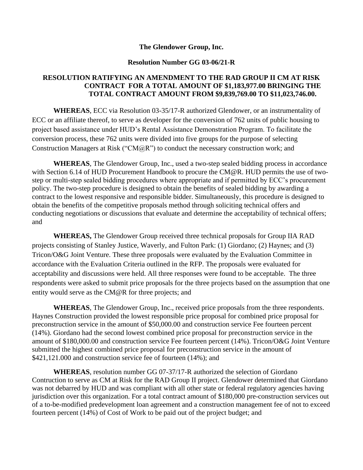#### **The Glendower Group, Inc.**

### **Resolution Number GG 03-06/21-R**

## **RESOLUTION RATIFYING AN AMENDMENT TO THE RAD GROUP II CM AT RISK CONTRACT FOR A TOTAL AMOUNT OF \$1,183,977.00 BRINGING THE TOTAL CONTRACT AMOUNT FROM \$9,839,769.00 TO \$11,023,746.00.**

**WHEREAS**, ECC via Resolution 03-35/17-R authorized Glendower, or an instrumentality of ECC or an affiliate thereof, to serve as developer for the conversion of 762 units of public housing to project based assistance under HUD's Rental Assistance Demonstration Program. To facilitate the conversion process, these 762 units were divided into five groups for the purpose of selecting Construction Managers at Risk ("CM $(QR)$ ") to conduct the necessary construction work; and

**WHEREAS**, The Glendower Group, Inc., used a two-step sealed bidding process in accordance with Section 6.14 of HUD Procurement Handbook to procure the CM@R. HUD permits the use of twostep or multi-step sealed bidding procedures where appropriate and if permitted by ECC's procurement policy. The two-step procedure is designed to obtain the benefits of sealed bidding by awarding a contract to the lowest responsive and responsible bidder. Simultaneously, this procedure is designed to obtain the benefits of the competitive proposals method through soliciting technical offers and conducting negotiations or discussions that evaluate and determine the acceptability of technical offers; and

**WHEREAS,** The Glendower Group received three technical proposals for Group IIA RAD projects consisting of Stanley Justice, Waverly, and Fulton Park: (1) Giordano; (2) Haynes; and (3) Tricon/O&G Joint Venture. These three proposals were evaluated by the Evaluation Committee in accordance with the Evaluation Criteria outlined in the RFP. The proposals were evaluated for acceptability and discussions were held. All three responses were found to be acceptable. The three respondents were asked to submit price proposals for the three projects based on the assumption that one entity would serve as the CM@R for three projects; and

**WHEREAS**, The Glendower Group, Inc., received price proposals from the three respondents. Haynes Construction provided the lowest responsible price proposal for combined price proposal for preconstruction service in the amount of \$50,000.00 and construction service Fee fourteen percent (14%). Giordano had the second lowest combined price proposal for preconstruction service in the amount of \$180,000.00 and construction service Fee fourteen percent (14%). Tricon/O&G Joint Venture submitted the highest combined price proposal for preconstruction service in the amount of \$421,121.000 and construction service fee of fourteen (14%); and

**WHEREAS**, resolution number GG 07-37/17-R authorized the selection of Giordano Contruction to serve as CM at Risk for the RAD Group II project. Glendower determined that Giordano was not debarred by HUD and was compliant with all other state or federal regulatory agencies having jurisdiction over this organization. For a total contract amount of \$180,000 pre-construction services out of a to-be-modified predevelopment loan agreement and a construction management fee of not to exceed fourteen percent (14%) of Cost of Work to be paid out of the project budget; and